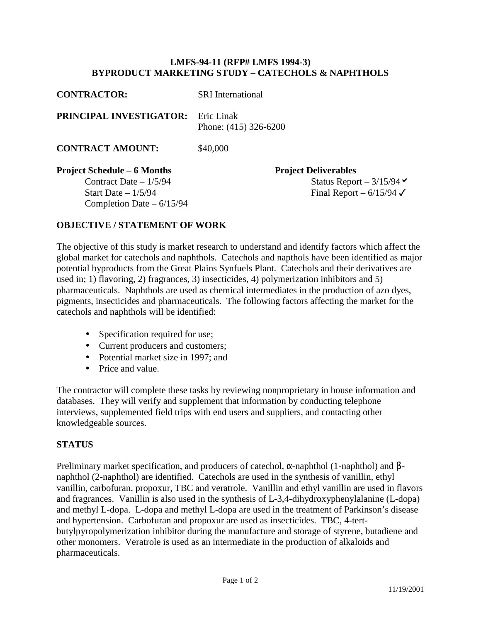## **LMFS-94-11 (RFP# LMFS 1994-3) BYPRODUCT MARKETING STUDY – CATECHOLS & NAPHTHOLS**

| <b>CONTRACTOR:</b>                        | <b>SRI</b> International    |
|-------------------------------------------|-----------------------------|
| <b>PRINCIPAL INVESTIGATOR:</b> Eric Linak | Phone: $(415)$ 326-6200     |
| <b>CONTRACT AMOUNT:</b>                   | \$40,000                    |
| <b>Project Schedule – 6 Months</b>        | <b>Project Deliverables</b> |
| Contract Date $-1/5/94$                   | <b>Status Repor</b>         |

Completion Date – 6/15/94

eport –  $3/15/94$ Start Date –  $1/5/94$  Final Report –  $6/15/94$   $\checkmark$ 

## **OBJECTIVE / STATEMENT OF WORK**

The objective of this study is market research to understand and identify factors which affect the global market for catechols and naphthols. Catechols and napthols have been identified as major potential byproducts from the Great Plains Synfuels Plant. Catechols and their derivatives are used in; 1) flavoring, 2) fragrances, 3) insecticides, 4) polymerization inhibitors and 5) pharmaceuticals. Naphthols are used as chemical intermediates in the production of azo dyes, pigments, insecticides and pharmaceuticals. The following factors affecting the market for the catechols and naphthols will be identified:

- Specification required for use;
- Current producers and customers;
- Potential market size in 1997; and
- Price and value.

The contractor will complete these tasks by reviewing nonproprietary in house information and databases. They will verify and supplement that information by conducting telephone interviews, supplemented field trips with end users and suppliers, and contacting other knowledgeable sources.

## **STATUS**

Preliminary market specification, and producers of catechol, α-naphthol (1-naphthol) and βnaphthol (2-naphthol) are identified. Catechols are used in the synthesis of vanillin, ethyl vanillin, carbofuran, propoxur, TBC and veratrole. Vanillin and ethyl vanillin are used in flavors and fragrances. Vanillin is also used in the synthesis of L-3,4-dihydroxyphenylalanine (L-dopa) and methyl L-dopa. L-dopa and methyl L-dopa are used in the treatment of Parkinson's disease and hypertension. Carbofuran and propoxur are used as insecticides. TBC, 4-tertbutylpyropolymerization inhibitor during the manufacture and storage of styrene, butadiene and other monomers. Veratrole is used as an intermediate in the production of alkaloids and pharmaceuticals.